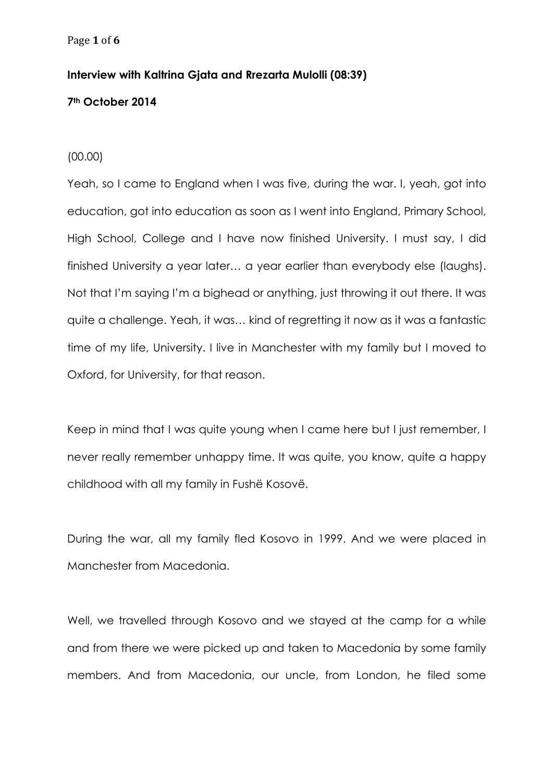## **Interview with Kaltrina Gjata and Rrezarta Mulolli (08:39)**

## **7th October 2014**

## (00.00)

Yeah, so I came to England when I was five, during the war. I, yeah, got into education, got into education as soon as I went into England, Primary School, High School, College and I have now finished University. I must say, I did finished University a year later… a year earlier than everybody else (laughs). Not that I'm saying I'm a bighead or anything, just throwing it out there. It was quite a challenge. Yeah, it was… kind of regretting it now as it was a fantastic time of my life, University. I live in Manchester with my family but I moved to Oxford, for University, for that reason.

Keep in mind that I was quite young when I came here but I just remember, I never really remember unhappy time. It was quite, you know, quite a happy childhood with all my family in Fushë Kosovë.

During the war, all my family fled Kosovo in 1999. And we were placed in Manchester from Macedonia.

Well, we travelled through Kosovo and we stayed at the camp for a while and from there we were picked up and taken to Macedonia by some family members. And from Macedonia, our uncle, from London, he filed some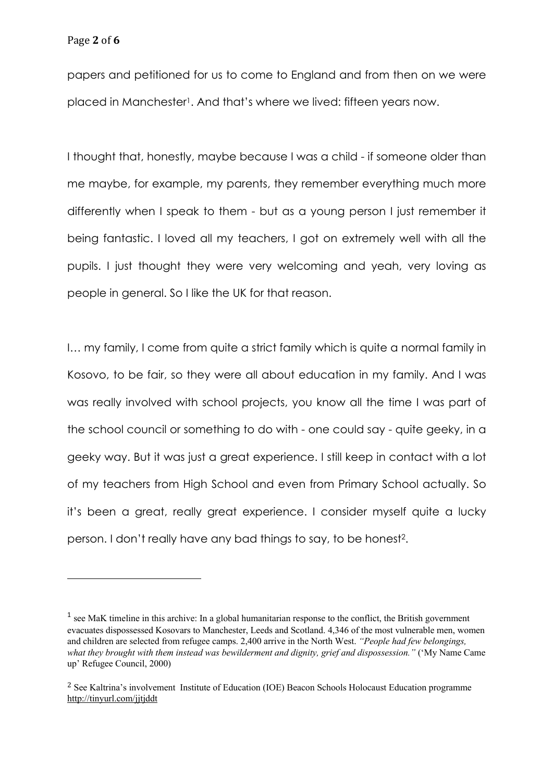papers and petitioned for us to come to England and from then on we were placed in Manchester<sup>1</sup>. And that's where we lived: fifteen years now.

I thought that, honestly, maybe because I was a child - if someone older than me maybe, for example, my parents, they remember everything much more differently when I speak to them - but as a young person I just remember it being fantastic. I loved all my teachers, I got on extremely well with all the pupils. I just thought they were very welcoming and yeah, very loving as people in general. So I like the UK for that reason.

I… my family, I come from quite a strict family which is quite a normal family in Kosovo, to be fair, so they were all about education in my family. And I was was really involved with school projects, you know all the time I was part of the school council or something to do with - one could say - quite geeky, in a geeky way. But it was just a great experience. I still keep in contact with a lot of my teachers from High School and even from Primary School actually. So it's been a great, really great experience. I consider myself quite a lucky person. I don't really have any bad things to say, to be honest2.

<sup>1</sup> see MaK timeline in this archive: In a global humanitarian response to the conflict, the British government evacuates dispossessed Kosovars to Manchester, Leeds and Scotland. 4,346 of the most vulnerable men, women and children are selected from refugee camps. 2,400 arrive in the North West. *"People had few belongings, what they brought with them instead was bewilderment and dignity, grief and dispossession."* ('My Name Came up' Refugee Council, 2000)

<sup>2</sup> See Kaltrina's involvement Institute of Education (IOE) Beacon Schools Holocaust Education programme http://tinyurl.com/jjtjddt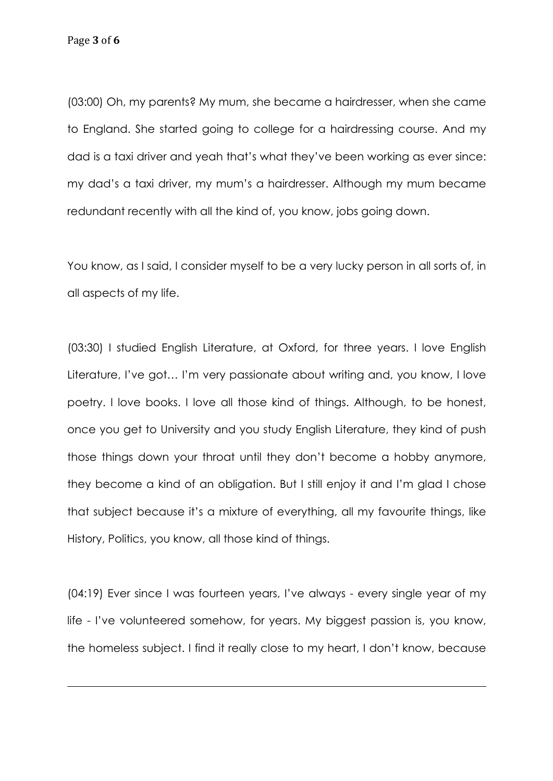(03:00) Oh, my parents? My mum, she became a hairdresser, when she came to England. She started going to college for a hairdressing course. And my dad is a taxi driver and yeah that's what they've been working as ever since: my dad's a taxi driver, my mum's a hairdresser. Although my mum became redundant recently with all the kind of, you know, jobs going down.

You know, as I said, I consider myself to be a very lucky person in all sorts of, in all aspects of my life.

(03:30) I studied English Literature, at Oxford, for three years. I love English Literature, I've got… I'm very passionate about writing and, you know, I love poetry. I love books. I love all those kind of things. Although, to be honest, once you get to University and you study English Literature, they kind of push those things down your throat until they don't become a hobby anymore, they become a kind of an obligation. But I still enjoy it and I'm glad I chose that subject because it's a mixture of everything, all my favourite things, like History, Politics, you know, all those kind of things.

(04:19) Ever since I was fourteen years, I've always - every single year of my life - I've volunteered somehow, for years. My biggest passion is, you know, the homeless subject. I find it really close to my heart, I don't know, because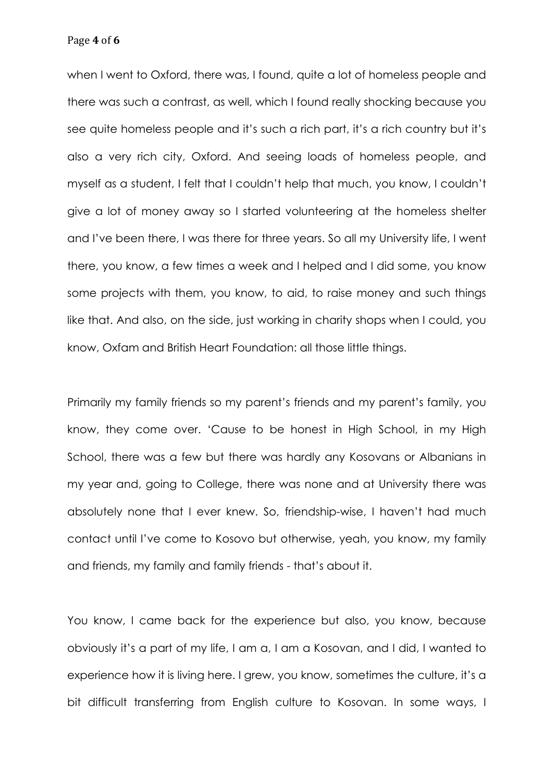Page **4** of **6**

when I went to Oxford, there was, I found, quite a lot of homeless people and there was such a contrast, as well, which I found really shocking because you see quite homeless people and it's such a rich part, it's a rich country but it's also a very rich city, Oxford. And seeing loads of homeless people, and myself as a student, I felt that I couldn't help that much, you know, I couldn't give a lot of money away so I started volunteering at the homeless shelter and I've been there, I was there for three years. So all my University life, I went there, you know, a few times a week and I helped and I did some, you know some projects with them, you know, to aid, to raise money and such things like that. And also, on the side, just working in charity shops when I could, you know, Oxfam and British Heart Foundation: all those little things.

Primarily my family friends so my parent's friends and my parent's family, you know, they come over. 'Cause to be honest in High School, in my High School, there was a few but there was hardly any Kosovans or Albanians in my year and, going to College, there was none and at University there was absolutely none that I ever knew. So, friendship-wise, I haven't had much contact until I've come to Kosovo but otherwise, yeah, you know, my family and friends, my family and family friends - that's about it.

You know, I came back for the experience but also, you know, because obviously it's a part of my life, I am a, I am a Kosovan, and I did, I wanted to experience how it is living here. I grew, you know, sometimes the culture, it's a bit difficult transferring from English culture to Kosovan. In some ways, I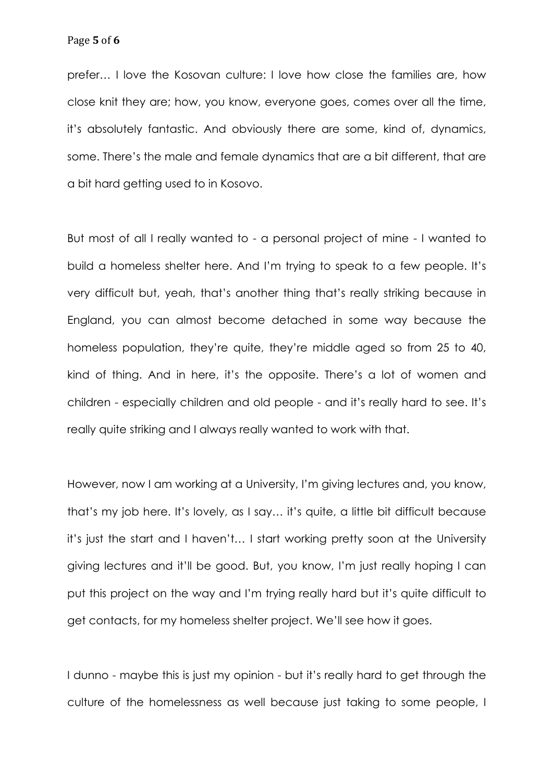prefer… I love the Kosovan culture: I love how close the families are, how close knit they are; how, you know, everyone goes, comes over all the time, it's absolutely fantastic. And obviously there are some, kind of, dynamics, some. There's the male and female dynamics that are a bit different, that are a bit hard getting used to in Kosovo.

But most of all I really wanted to - a personal project of mine - I wanted to build a homeless shelter here. And I'm trying to speak to a few people. It's very difficult but, yeah, that's another thing that's really striking because in England, you can almost become detached in some way because the homeless population, they're quite, they're middle aged so from 25 to 40, kind of thing. And in here, it's the opposite. There's a lot of women and children - especially children and old people - and it's really hard to see. It's really quite striking and I always really wanted to work with that.

However, now I am working at a University, I'm giving lectures and, you know, that's my job here. It's lovely, as I say… it's quite, a little bit difficult because it's just the start and I haven't… I start working pretty soon at the University giving lectures and it'll be good. But, you know, I'm just really hoping I can put this project on the way and I'm trying really hard but it's quite difficult to get contacts, for my homeless shelter project. We'll see how it goes.

I dunno - maybe this is just my opinion - but it's really hard to get through the culture of the homelessness as well because just taking to some people, I